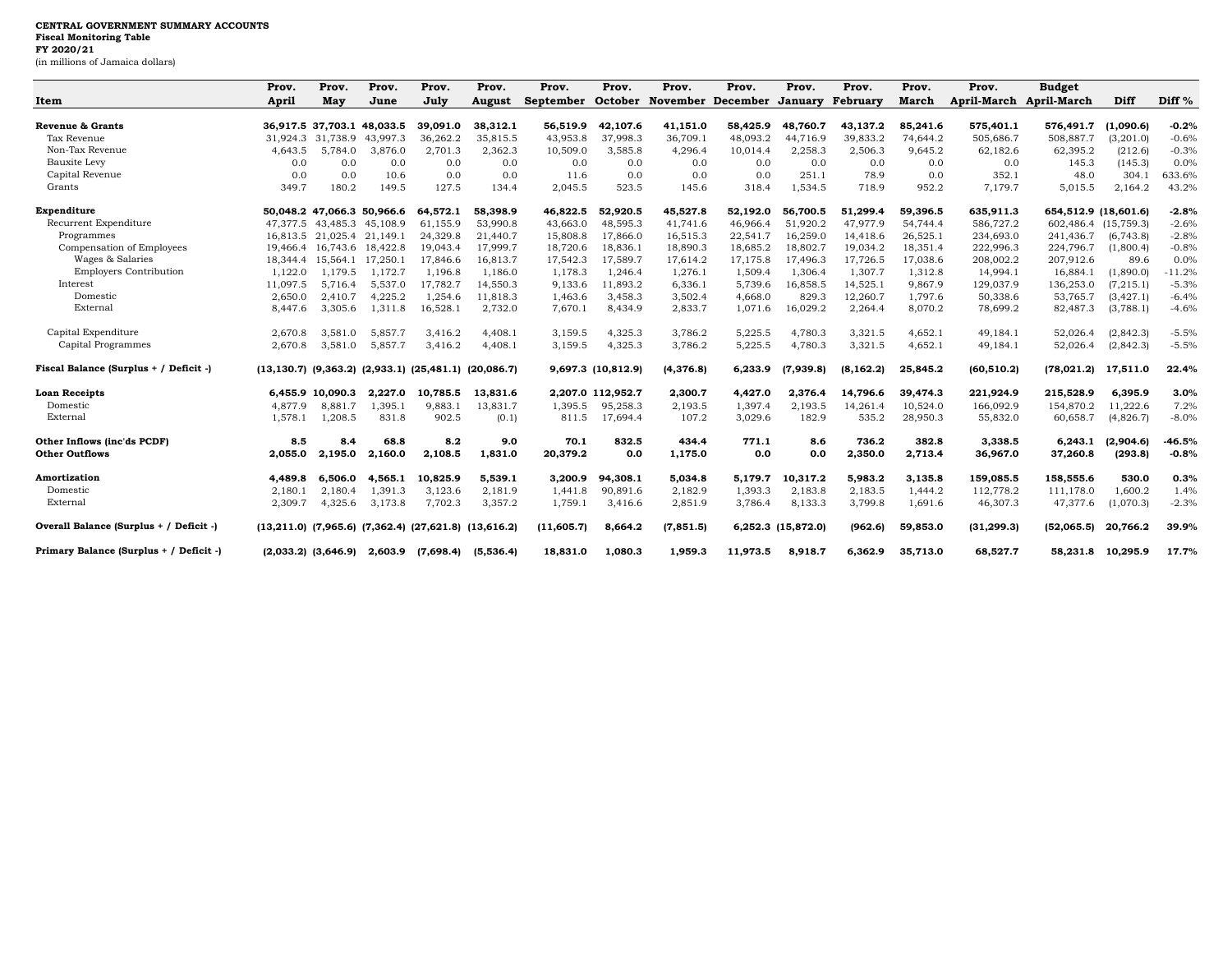|                                         | Prov.    | Prov.             | Prov.                           | Prov.                                                               | Prov.     | Prov.      | Prov.              | Prov.      | Prov.                             | Prov.              | Prov.     | Prov.    | Prov.                   | <b>Budget</b>        |            |                   |
|-----------------------------------------|----------|-------------------|---------------------------------|---------------------------------------------------------------------|-----------|------------|--------------------|------------|-----------------------------------|--------------------|-----------|----------|-------------------------|----------------------|------------|-------------------|
| Item                                    | April    | May               | June                            | July                                                                | August    | September  |                    |            | October November December January |                    | February  | March    | April-March April-March |                      | Diff       | Diff <sup>%</sup> |
| Revenue & Grants                        |          |                   | 36,917.5 37,703.1 48,033.5      | 39.091.0                                                            | 38,312.1  | 56,519.9   | 42,107.6           | 41,151.0   | 58,425.9                          | 48,760.7           | 43,137.2  | 85,241.6 | 575,401.1               | 576,491.7            | (1,090.6)  | $-0.2%$           |
| Tax Revenue                             |          | 31.924.3 31.738.9 | 43.997.3                        | 36,262.2                                                            | 35,815.5  | 43,953.8   | 37,998.3           | 36,709.1   | 48,093.2                          | 44.716.9           | 39,833.2  | 74.644.2 | 505,686.7               | 508,887.7            | (3,201.0)  | $-0.6%$           |
| Non-Tax Revenue                         | 4.643.5  | 5.784.0           | 3.876.0                         | 2.701.3                                                             | 2,362.3   | 10,509.0   | 3,585.8            | 4,296.4    | 10,014.4                          | 2,258.3            | 2,506.3   | 9.645.2  | 62,182.6                | 62,395.2             | (212.6)    | $-0.3%$           |
| Bauxite Levy                            | 0.0      | 0.0               | 0.0                             | 0.0                                                                 | 0.0       | 0.0        | 0.0                | 0.0        | 0.0                               | 0.0                | 0.0       | 0.0      | 0.0                     | 145.3                | (145.3)    | 0.0%              |
| Capital Revenue                         | 0.0      | 0.0               | 10.6                            | 0.0                                                                 | 0.0       | 11.6       | 0.0                | 0.0        | 0.0                               | 251.1              | 78.9      | 0.0      | 352.1                   | 48.0                 | 304.1      | 633.6%            |
| Grants                                  | 349.7    | 180.2             | 149.5                           | 127.5                                                               | 134.4     | 2.045.5    | 523.5              | 145.6      | 318.4                             | 1.534.5            | 718.9     | 952.2    | 7.179.7                 | 5.015.5              | 2,164.2    | 43.2%             |
| Expenditure                             |          |                   | 50.048.2 47.066.3 50.966.6      | 64.572.1                                                            | 58,398.9  | 46,822.5   | 52,920.5           | 45,527.8   | 52,192.0                          | 56.700.5           | 51,299.4  | 59,396.5 | 635,911.3               | 654,512.9 (18,601.6) |            | $-2.8%$           |
| Recurrent Expenditure                   | 47.377.5 |                   | 43,485.3 45,108.9               | 61,155.9                                                            | 53,990.8  | 43,663.0   | 48,595.3           | 41,741.6   | 46,966.4                          | 51,920.2           | 47,977.9  | 54,744.4 | 586,727.2               | 602,486.4 (15,759.3) |            | $-2.6%$           |
| Programmes                              | 16.813.5 |                   | 21,025.4 21,149.1               | 24,329.8                                                            | 21,440.7  | 15,808.8   | 17,866.0           | 16,515.3   | 22,541.7                          | 16,259.0           | 14,418.6  | 26,525.1 | 234,693.0               | 241,436.7            | (6, 743.8) | $-2.8%$           |
| Compensation of Employees               | 19.466.4 |                   | 16,743.6 18,422.8               | 19,043.4                                                            | 17,999.7  | 18,720.6   | 18,836.1           | 18,890.3   | 18,685.2                          | 18,802.7           | 19,034.2  | 18,351.4 | 222,996.3               | 224,796.7            | (1,800.4)  | $-0.8%$           |
| Wages & Salaries                        | 18,344.4 | 15.564.1          | 17.250.1                        | 17,846.6                                                            | 16,813.7  | 17,542.3   | 17,589.7           | 17,614.2   | 17,175.8                          | 17.496.3           | 17,726.5  | 17,038.6 | 208,002.2               | 207,912.6            | 89.6       | 0.0%              |
| <b>Employers Contribution</b>           | 1.122.0  | 1.179.5           | 1,172.7                         | 1,196.8                                                             | 1,186.0   | 1,178.3    | 1,246.4            | 1,276.1    | 1,509.4                           | 1,306.4            | 1,307.7   | 1,312.8  | 14,994.1                | 16,884.1             | (1,890.0)  | $-11.2%$          |
| Interest                                | 11,097.5 | 5,716.4           | 5,537.0                         | 17,782.7                                                            | 14,550.3  | 9,133.6    | 11,893.2           | 6,336.1    | 5,739.6                           | 16,858.5           | 14,525.1  | 9,867.9  | 129,037.9               | 136,253.0            | (7, 215.1) | $-5.3%$           |
| Domestic                                | 2.650.0  | 2.410.7           | 4,225.2                         | 1,254.6                                                             | 11,818.3  | 1,463.6    | 3,458.3            | 3,502.4    | 4,668.0                           | 829.3              | 12,260.7  | 1,797.6  | 50,338.6                | 53,765.7             | (3, 427.1) | $-6.4%$           |
| External                                | 8,447.6  | 3,305.6           | 1,311.8                         | 16,528.1                                                            | 2,732.0   | 7,670.1    | 8,434.9            | 2,833.7    | 1,071.6                           | 16,029.2           | 2,264.4   | 8,070.2  | 78,699.2                | 82,487.3             | (3,788.1)  | $-4.6%$           |
| Capital Expenditure                     | 2,670.8  | 3,581.0           | 5,857.7                         | 3,416.2                                                             | 4,408.1   | 3,159.5    | 4,325.3            | 3,786.2    | 5,225.5                           | 4,780.3            | 3,321.5   | 4,652.1  | 49,184.1                | 52,026.4             | (2,842.3)  | $-5.5%$           |
| Capital Programmes                      | 2.670.8  | 3,581.0           | 5.857.7                         | 3.416.2                                                             | 4,408.1   | 3,159.5    | 4,325.3            | 3,786.2    | 5,225.5                           | 4,780.3            | 3,321.5   | 4,652.1  | 49,184.1                | 52,026.4             | (2,842.3)  | $-5.5%$           |
| Fiscal Balance (Surplus + / Deficit -)  |          |                   |                                 | $(13, 130.7)$ $(9, 363.2)$ $(2, 933.1)$ $(25, 481.1)$ $(20, 086.7)$ |           |            | 9,697.3 (10,812.9) | (4, 376.8) | 6.233.9                           | (7,939.8)          | (8.162.2) | 25.845.2 | (60, 510.2)             | (78.021.2)           | 17,511.0   | 22.4%             |
| <b>Loan Receipts</b>                    | 6.455.9  | 10.090.3          | 2.227.0                         | 10.785.5                                                            | 13.831.6  | 2.207.0    | 112,952.7          | 2,300.7    | 4.427.0                           | 2.376.4            | 14.796.6  | 39,474.3 | 221,924.9               | 215,528.9            | 6.395.9    | 3.0%              |
| Domestic                                | 4.877.9  | 8.881.7           | 1,395.1                         | 9,883.1                                                             | 13,831.7  | 1.395.5    | 95,258.3           | 2,193.5    | 1,397.4                           | 2,193.5            | 14,261.4  | 10,524.0 | 166,092.9               | 154,870.2            | 11,222.6   | 7.2%              |
| External                                | 1,578.1  | 1,208.5           | 831.8                           | 902.5                                                               | (0.1)     | 811.5      | 17,694.4           | 107.2      | 3,029.6                           | 182.9              | 535.2     | 28,950.3 | 55,832.0                | 60,658.7             | (4,826.7)  | $-8.0%$           |
| Other Inflows (inc'ds PCDF)             | 8.5      | 8.4               | 68.8                            | 8.2                                                                 | 9.0       | 70.1       | 832.5              | 434.4      | 771.1                             | 8.6                | 736.2     | 382.8    | 3,338.5                 | 6,243.1              | (2,904.6)  | $-46.5%$          |
| <b>Other Outflows</b>                   | 2.055.0  | 2,195.0           | 2,160.0                         | 2,108.5                                                             | 1,831.0   | 20,379.2   | 0.0                | 1,175.0    | 0.0                               | 0.0                | 2,350.0   | 2,713.4  | 36,967.0                | 37,260.8             | (293.8)    | $-0.8%$           |
| Amortization                            | 4.489.8  | 6.506.0           | 4,565.1                         | 10.825.9                                                            | 5.539.1   | 3.200.9    | 94,308.1           | 5,034.8    | 5.179.7                           | 10.317.2           | 5,983.2   | 3,135.8  | 159,085.5               | 158,555.6            | 530.0      | 0.3%              |
| Domestic                                | 2.180.1  | 2.180.4           | 1,391.3                         | 3,123.6                                                             | 2,181.9   | 1.441.8    | 90,891.6           | 2,182.9    | 1,393.3                           | 2,183.8            | 2,183.5   | 1.444.2  | 112,778.2               | 111,178.0            | 1,600.2    | 1.4%              |
| External                                | 2,309.7  | 4,325.6           | 3,173.8                         | 7,702.3                                                             | 3,357.2   | 1,759.1    | 3,416.6            | 2,851.9    | 3,786.4                           | 8,133.3            | 3,799.8   | 1,691.6  | 46,307.3                | 47,377.6             | (1,070.3)  | $-2.3%$           |
| Overall Balance (Surplus + / Deficit -) |          |                   |                                 | $(13,211.0)$ $(7,965.6)$ $(7,362.4)$ $(27,621.8)$ $(13,616.2)$      |           | (11,605.7) | 8,664.2            | (7, 851.5) |                                   | 6,252.3 (15,872.0) | (962.6)   | 59,853.0 | (31, 299.3)             | (52,065.5)           | 20,766.2   | 39.9%             |
| Primary Balance (Surplus + / Deficit -) |          |                   | $(2,033.2)$ $(3,646.9)$ 2,603.9 | (7,698.4)                                                           | (5,536.4) | 18.831.0   | 1,080.3            | 1.959.3    | 11.973.5                          | 8,918.7            | 6.362.9   | 35,713.0 | 68,527.7                | 58.231.8             | 10,295.9   | 17.7%             |